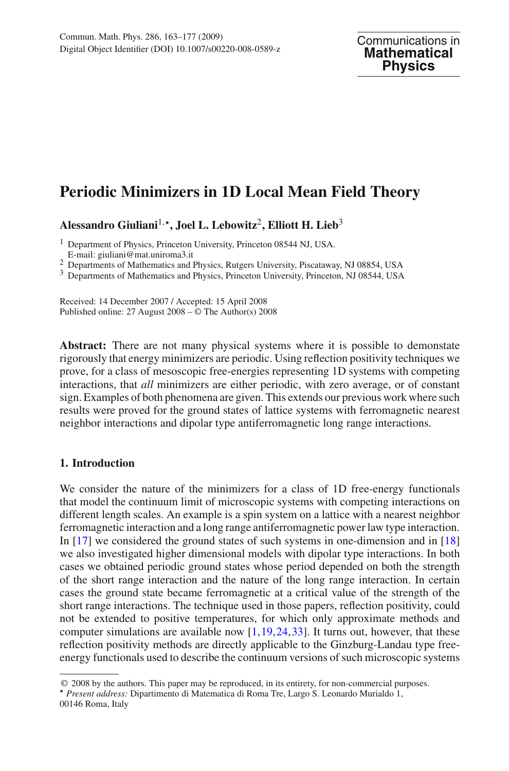# **Periodic Minimizers in 1D Local Mean Field Theory**

**Alessandro Giuliani**1,**, Joel L. Lebowitz**2**, Elliott H. Lieb**<sup>3</sup>

<sup>1</sup> Department of Physics, Princeton University, Princeton 08544 NJ, USA. E-mail: giuliani@mat.uniroma3.it

2 Departments of Mathematics and Physics, Rutgers University, Piscataway, NJ 08854, USA 3 Departments of Mathematics and Physics, Princeton University, Princeton, NJ 08544, USA

Received: 14 December 2007 / Accepted: 15 April 2008 Published online: 27 August 2008 – © The Author(s) 2008

**Abstract:** There are not many physical systems where it is possible to demonstate rigorously that energy minimizers are periodic. Using reflection positivity techniques we prove, for a class of mesoscopic free-energies representing 1D systems with competing interactions, that *all* minimizers are either periodic, with zero average, or of constant sign. Examples of both phenomena are given. This extends our previous work where such results were proved for the ground states of lattice systems with ferromagnetic nearest neighbor interactions and dipolar type antiferromagnetic long range interactions.

## **1. Introduction**

We consider the nature of the minimizers for a class of 1D free-energy functionals that model the continuum limit of microscopic systems with competing interactions on different length scales. An example is a spin system on a lattice with a nearest neighbor ferromagnetic interaction and a long range antiferromagnetic power law type interaction. In [\[17](#page-13-0)] we considered the ground states of such systems in one-dimension and in [\[18\]](#page-13-1) we also investigated higher dimensional models with dipolar type interactions. In both cases we obtained periodic ground states whose period depended on both the strength of the short range interaction and the nature of the long range interaction. In certain cases the ground state became ferromagnetic at a critical value of the strength of the short range interactions. The technique used in those papers, reflection positivity, could not be extended to positive temperatures, for which only approximate methods and computer simulations are available now  $[1,19,24,33]$  $[1,19,24,33]$  $[1,19,24,33]$  $[1,19,24,33]$  $[1,19,24,33]$ . It turns out, however, that these reflection positivity methods are directly applicable to the Ginzburg-Landau type freeenergy functionals used to describe the continuum versions of such microscopic systems

© 2008 by the authors. This paper may be reproduced, in its entirety, for non-commercial purposes.

*Present address:* Dipartimento di Matematica di Roma Tre, Largo S. Leonardo Murialdo 1, 00146 Roma, Italy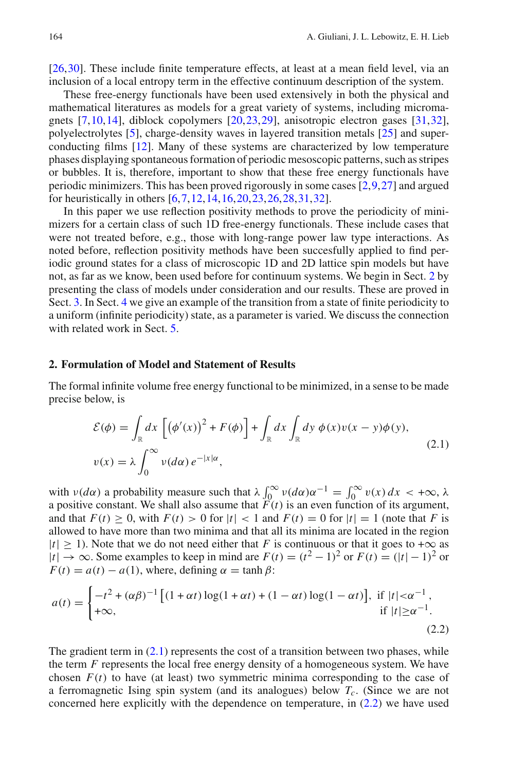[\[26](#page-14-2),[30\]](#page-14-3). These include finite temperature effects, at least at a mean field level, via an inclusion of a local entropy term in the effective continuum description of the system.

These free-energy functionals have been used extensively in both the physical and mathematical literatures as models for a great variety of systems, including micromagnets [\[7,](#page-13-4)[10,](#page-13-5)[14\]](#page-13-6), diblock copolymers [\[20](#page-14-4),[23,](#page-14-5)[29\]](#page-14-6), anisotropic electron gases [\[31](#page-14-7)[,32](#page-14-8)], polyelectrolytes [\[5\]](#page-13-7), charge-density waves in layered transition metals [\[25\]](#page-14-9) and superconducting films [\[12](#page-13-8)]. Many of these systems are characterized by low temperature phases displaying spontaneous formation of periodic mesoscopic patterns, such as stripes or bubbles. It is, therefore, important to show that these free energy functionals have periodic minimizers. This has been proved rigorously in some cases [\[2](#page-13-9)[,9](#page-13-10)[,27](#page-14-10)] and argued for heuristically in others [\[6](#page-13-11),[7,](#page-13-4)[12](#page-13-8)[,14](#page-13-6)[,16](#page-13-12),[20,](#page-14-4)[23](#page-14-5)[,26](#page-14-2)[,28](#page-14-11),[31](#page-14-7),[32\]](#page-14-8).

In this paper we use reflection positivity methods to prove the periodicity of minimizers for a certain class of such 1D free-energy functionals. These include cases that were not treated before, e.g., those with long-range power law type interactions. As noted before, reflection positivity methods have been succesfully applied to find periodic ground states for a class of microscopic 1D and 2D lattice spin models but have not, as far as we know, been used before for continuum systems. We begin in Sect. [2](#page-1-0) by presenting the class of models under consideration and our results. These are proved in Sect. [3.](#page-4-0) In Sect. [4](#page-11-0) we give an example of the transition from a state of finite periodicity to a uniform (infinite periodicity) state, as a parameter is varied. We discuss the connection with related work in Sect. [5.](#page-12-0)

#### <span id="page-1-0"></span>**2. Formulation of Model and Statement of Results**

<span id="page-1-1"></span>The formal infinite volume free energy functional to be minimized, in a sense to be made precise below, is

$$
\mathcal{E}(\phi) = \int_{\mathbb{R}} dx \left[ \left( \phi'(x) \right)^2 + F(\phi) \right] + \int_{\mathbb{R}} dx \int_{\mathbb{R}} dy \, \phi(x) v(x - y) \phi(y),
$$
\n
$$
v(x) = \lambda \int_0^\infty v(d\alpha) \, e^{-|x|\alpha}, \tag{2.1}
$$

with  $v(d\alpha)$  a probability measure such that  $\lambda \int_0^\infty v(d\alpha) \alpha^{-1} = \int_0^\infty v(x) dx < +\infty$ ,  $\lambda$ a positive constant. We shall also assume that  $F(t)$  is an even function of its argument, and that  $F(t) \geq 0$ , with  $F(t) > 0$  for  $|t| < 1$  and  $F(t) = 0$  for  $|t| = 1$  (note that *F* is allowed to have more than two minima and that all its minima are located in the region  $|t| \ge 1$ ). Note that we do not need either that *F* is continuous or that it goes to + $\infty$  as  $|t|$  → ∞. Some examples to keep in mind are  $F(t) = (t^2 - 1)^2$  or  $F(t) = (|t| - 1)^2$  or  $F(t) = a(t) - a(1)$ , where, defining  $\alpha = \tanh \beta$ :

<span id="page-1-2"></span>
$$
a(t) = \begin{cases} -t^2 + (\alpha \beta)^{-1} \left[ (1 + \alpha t) \log(1 + \alpha t) + (1 - \alpha t) \log(1 - \alpha t) \right], & \text{if } |t| < \alpha^{-1}, \\ +\infty, & \text{if } |t| \ge \alpha^{-1}. \end{cases}
$$
(2.2)

The gradient term in  $(2.1)$  represents the cost of a transition between two phases, while the term *F* represents the local free energy density of a homogeneous system. We have chosen  $F(t)$  to have (at least) two symmetric minima corresponding to the case of a ferromagnetic Ising spin system (and its analogues) below *Tc*. (Since we are not concerned here explicitly with the dependence on temperature, in [\(2.2\)](#page-1-2) we have used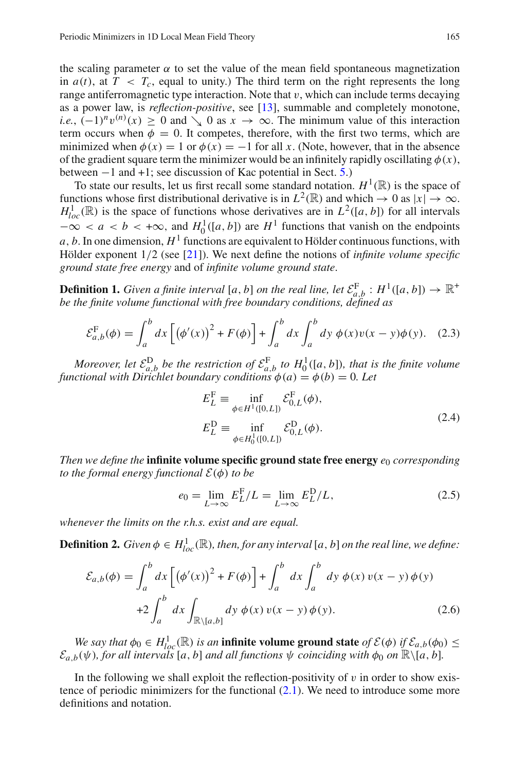the scaling parameter  $\alpha$  to set the value of the mean field spontaneous magnetization in  $a(t)$ , at  $T < T_c$ , equal to unity.) The third term on the right represents the long range antiferromagnetic type interaction. Note that  $v$ , which can include terms decaying as a power law, is *reflection-positive*, see [\[13\]](#page-13-13), summable and completely monotone, *i.e.*,  $(-1)^n v^{(n)}(x) \ge 0$  and  $\searrow 0$  as  $x \to \infty$ . The minimum value of this interaction term occurs when  $\phi = 0$ . It competes, therefore, with the first two terms, which are minimized when  $\phi(x) = 1$  or  $\phi(x) = -1$  for all x. (Note, however, that in the absence of the gradient square term the minimizer would be an infinitely rapidly oscillating  $\phi(x)$ , between −1 and +1; see discussion of Kac potential in Sect. [5.](#page-12-0))

To state our results, let us first recall some standard notation.  $H^1(\mathbb{R})$  is the space of functions whose first distributional derivative is in  $L^2(\mathbb{R})$  and which  $\rightarrow 0$  as  $|x| \rightarrow \infty$ .  $H_{loc}^1(\mathbb{R})$  is the space of functions whose derivatives are in  $L^2([a, b])$  for all intervals  $-\infty < a < b < +\infty$ , and  $H_0^1([a, b])$  are  $H^1$  functions that vanish on the endpoints  $a, b$ . In one dimension,  $H<sup>1</sup>$  functions are equivalent to Hölder continuous functions, with Hölder exponent 1/2 (see [\[21](#page-14-12)]). We next define the notions of *infinite volume specific ground state free energy* and of *infinite volume ground state*.

**Definition 1.** *Given a finite interval*  $[a, b]$  *on the real line, let*  $\mathcal{E}_{a,b}^{\mathbb{F}}$  :  $H^1([a, b]) \to \mathbb{R}^+$ *be the finite volume functional with free boundary conditions, defined as*

$$
\mathcal{E}_{a,b}^{\mathcal{F}}(\phi) = \int_{a}^{b} dx \left[ \left( \phi'(x) \right)^2 + F(\phi) \right] + \int_{a}^{b} dx \int_{a}^{b} dy \ \phi(x) v(x - y) \phi(y). \tag{2.3}
$$

*Moreover, let*  $\mathcal{E}_{a,b}^{\text{D}}$  *be the restriction of*  $\mathcal{E}_{a,b}^{\text{F}}$  *to*  $H_0^1([a, b])$ *, that is the finite volume functional with Dirichlet boundary conditions*  $\phi(a) = \phi(b) = 0$ . Let

$$
E_L^{\mathcal{F}} \equiv \inf_{\phi \in H^1([0,L])} \mathcal{E}_{0,L}^{\mathcal{F}}(\phi),
$$
  
\n
$$
E_L^{\mathcal{D}} \equiv \inf_{\phi \in H_0^1([0,L])} \mathcal{E}_{0,L}^{\mathcal{D}}(\phi).
$$
\n(2.4)

*Then we define the* **infinite volume specific ground state free energy**  $e_0$  *corresponding to the formal energy functional*  $\mathcal{E}(\phi)$  *to be* 

$$
e_0 = \lim_{L \to \infty} E_L^{\mathcal{F}} / L = \lim_{L \to \infty} E_L^{\mathcal{D}} / L,\tag{2.5}
$$

<span id="page-2-1"></span>*whenever the limits on the r.h.s. exist and are equal.*

**Definition 2.** *Given*  $\phi \in H^1_{loc}(\mathbb{R})$ *, then, for any interval* [*a*, *b*] *on the real line, we define:* 

$$
\mathcal{E}_{a,b}(\phi) = \int_a^b dx \left[ \left( \phi'(x) \right)^2 + F(\phi) \right] + \int_a^b dx \int_a^b dy \, \phi(x) \, v(x - y) \, \phi(y)
$$
  
+2\int\_a^b dx \int\_{\mathbb{R}\backslash [a,b]} dy \, \phi(x) \, v(x - y) \, \phi(y). (2.6)

*We say that*  $\phi_0 \in H^1_{loc}(\mathbb{R})$  *is an* **infinite volume ground state** *of*  $\mathcal{E}(\phi)$  *if*  $\mathcal{E}_{a,b}(\phi_0) \leq$  $\mathcal{E}_{a,b}(\psi)$ *, for all intervals* [*a*, *b*] *and all functions*  $\psi$  *coinciding with*  $\phi_0$  *on*  $\mathbb{R}\setminus [a, b]$ *.* 

<span id="page-2-0"></span>In the following we shall exploit the reflection-positivity of  $v$  in order to show existence of periodic minimizers for the functional  $(2.1)$ . We need to introduce some more definitions and notation.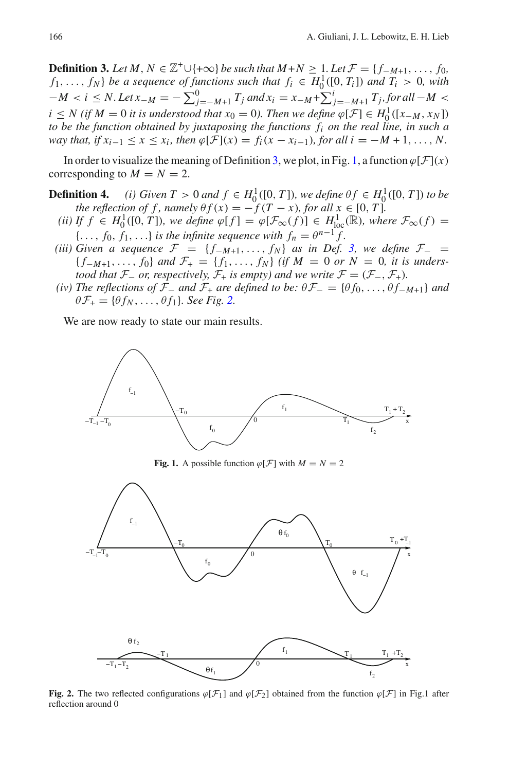**Definition 3.** Let  $M, N \in \mathbb{Z}^+ \cup \{+\infty\}$  be such that  $M+N \geq 1$ . Let  $\mathcal{F} = \{f_{-M+1}, \ldots, f_0\}$ *f*<sub>1</sub>,..., *f*<sub>*N*</sub>} *be a sequence of functions such that*  $f_i \in H_0^1([0, T_i])$  *and*  $T_i > 0$ *, with*  $-M < i \le N$ . Let  $x_{-M} = -\sum_{j=-M+1}^{0} T_j$  and  $x_i = x_{-M} + \sum_{j=-M+1}^{i} T_j$ , for all −*M* < *i* ≤ *N* (*if M* = 0 *it is understood that*  $x_0 = 0$ *). Then we define*  $\varphi$ [*F*] ∈ *H*<sub>1</sub><sup>1</sup>([*x*−*M*, *x<sub>N</sub>*]) *to be the function obtained by juxtaposing the functions fi on the real line, in such a way that, if*  $x_{i-1}$  <  $x$  <  $x_i$ *, then*  $\varphi$ [*F*]( $x$ ) =  $f_i(x - x_{i-1})$ *, for all i* = −*M* + 1*,..., N*.

<span id="page-3-3"></span>In order to visualize the meaning of Definition [3,](#page-2-0) we plot, in Fig. [1,](#page-3-0) a function  $\varphi[\mathcal{F}](x)$ corresponding to  $M = N = 2$ .

- **Definition 4.** *(i)* Given  $T > 0$  and  $f \in H_0^1([0, T])$ *, we define*  $\theta f \in H_0^1([0, T])$  *to be the reflection of f, namely*  $\theta f(x) = -f(T - x)$ *, for all*  $x \in [0, T]$ *.* 
	- *(ii)* If  $f \in H_0^1([0, T])$ *, we define*  $\varphi[f] = \varphi[\mathcal{F}_{\infty}(f)] \in H_{loc}^1(\mathbb{R})$ *, where*  $\mathcal{F}_{\infty}(f) =$  ${..., f_0, f_1, ...}$  *is the infinite sequence with*  $f_n = \theta^{n-1} f$ .
- *(iii)* Given a sequence  $\mathcal{F} = \{f_{-M+1}, \ldots, f_N\}$  as in Def. [3,](#page-2-0) we define  $\mathcal{F}_-$  =  ${f_{-M+1},..., f_0}$  *and*  $\mathcal{F}_+ = {f_1,..., f_N}$  *(if*  $M = 0$  *or*  $N = 0$ *, it is understood that*  $\mathcal{F}_-$  *or, respectively,*  $\mathcal{F}_+$  *is empty) and we write*  $\mathcal{F} = (\mathcal{F}_-, \mathcal{F}_+).$
- <span id="page-3-2"></span>*(iv) The reflections of*  $\mathcal{F}_-$  *and*  $\mathcal{F}_+$  *are defined to be:*  $\theta \mathcal{F}_- = {\theta f_0, ..., \theta f_{-M+1}}$  *and*  $\theta \mathcal{F}_+ = {\theta f_N, \ldots, \theta f_1}$ *. See Fig.* [2.](#page-3-1)

We are now ready to state our main results.



**Fig. 1.** A possible function  $\varphi[\mathcal{F}]$  with  $M = N = 2$ 

<span id="page-3-0"></span>

<span id="page-3-1"></span>**Fig. 2.** The two reflected configurations  $\varphi[\mathcal{F}_1]$  and  $\varphi[\mathcal{F}_2]$  obtained from the function  $\varphi[\mathcal{F}]$  in Fig.1 after reflection around 0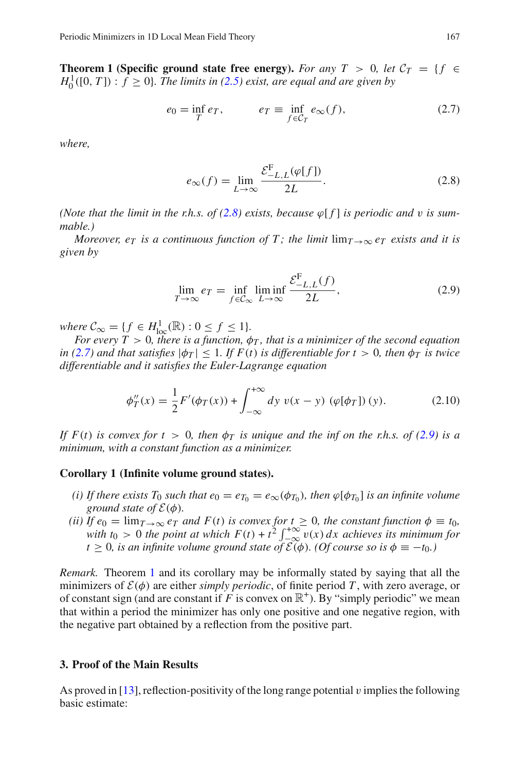**Theorem 1 (Specific ground state free energy).** *For any*  $T > 0$ , let  $C_T = \{f \in$  $H_0^1([0, T])$  :  $f \ge 0$ }. The limits in [\(2.5\)](#page-2-1) exist, are equal and are given by

$$
e_0 = \inf_T e_T, \qquad e_T \equiv \inf_{f \in C_T} e_\infty(f), \tag{2.7}
$$

<span id="page-4-2"></span>*where,*

$$
e_{\infty}(f) = \lim_{L \to \infty} \frac{\mathcal{E}_{-L,L}^{\mathcal{F}}(\varphi[f])}{2L}.
$$
 (2.8)

<span id="page-4-1"></span>*(Note that the limit in the r.h.s. of*  $(2.8)$  *exists, because*  $\varphi$  *f l is periodic and v is summable.)*

*Moreover, e<sub>T</sub> is a continuous function of T; the limit*  $\lim_{T\to\infty} e_T$  *exists and it is given by*

$$
\lim_{T \to \infty} e_T = \inf_{f \in \mathcal{C}_{\infty}} \liminf_{L \to \infty} \frac{\mathcal{E}_{-L,L}^{\mathcal{F}}(f)}{2L},\tag{2.9}
$$

<span id="page-4-3"></span> $where \ C_{\infty} = \{ f \in H_{\text{loc}}^1(\mathbb{R}) : 0 \leq f \leq 1 \}.$ 

*For every T*  $> 0$ , *there is a function,*  $\phi_T$ *, that is a minimizer of the second equation in [\(2.7\)](#page-4-2)* and that satisfies  $|\phi_T| \leq 1$ . If  $F(t)$  is differentiable for  $t > 0$ , then  $\phi_T$  is twice *differentiable and it satisfies the Euler-Lagrange equation*

$$
\phi''_T(x) = \frac{1}{2} F'(\phi_T(x)) + \int_{-\infty}^{+\infty} dy \ v(x - y) \ (\varphi[\phi_T]) (y).
$$
 (2.10)

*If*  $F(t)$  *is convex for*  $t > 0$ *, then*  $\phi_T$  *is unique and the inf on the r.h.s. of* [\(2.9\)](#page-4-3) *is a minimum, with a constant function as a minimizer.*

## <span id="page-4-5"></span>**Corollary 1 (Infinite volume ground states).**

- *(i) If there exists T*<sup>0</sup> *such that*  $e_0 = e_{T_0} = e_{\infty}(\phi_{T_0})$ *, then*  $\varphi[\phi_{T_0}]$  *is an infinite volume ground state of*  $\mathcal{E}(\phi)$ *.*
- *(ii) If*  $e_0 = \lim_{T \to \infty} e_T$  *and*  $F(t)$  *is convex for*  $t \geq 0$ *, the constant function*  $\phi \equiv t_0$ *,* with  $t_0 > 0$  the point at which  $F(t) + t^2 \int_{-\infty}^{+\infty} v(x) dx$  achieves its minimum for  $t \geq 0$ , is an infinite volume ground state of  $\widetilde{\mathcal{E}(\phi)}$ . (Of course so is  $\phi \equiv -t_0$ *.*)

*Remark.* Theorem [1](#page-3-2) and its corollary may be informally stated by saying that all the minimizers of  $\mathcal{E}(\phi)$  are either *simply periodic*, of finite period T, with zero average, or of constant sign (and are constant if *F* is convex on  $\mathbb{R}^+$ ). By "simply periodic" we mean that within a period the minimizer has only one positive and one negative region, with the negative part obtained by a reflection from the positive part.

## <span id="page-4-0"></span>**3. Proof of the Main Results**

<span id="page-4-4"></span>As proved in [\[13](#page-13-13)], reflection-positivity of the long range potential v implies the following basic estimate: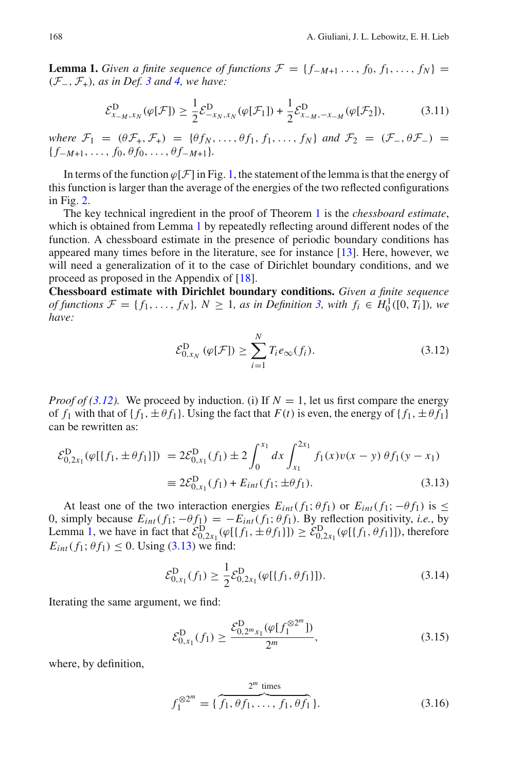**Lemma 1.** *Given a finite sequence of functions*  $\mathcal{F} = \{f_{-M+1}, \ldots, f_0, f_1, \ldots, f_N\}$ (*F*−, *F*+)*, as in Def. [3](#page-2-0) and [4,](#page-3-3) we have:*

$$
\mathcal{E}_{x_{-M},x_N}^{\mathcal{D}}(\varphi[\mathcal{F}]) \ge \frac{1}{2} \mathcal{E}_{-x_N,x_N}^{\mathcal{D}}(\varphi[\mathcal{F}_1]) + \frac{1}{2} \mathcal{E}_{x_{-M},-x_{-M}}^{\mathcal{D}}(\varphi[\mathcal{F}_2]),\tag{3.11}
$$

*where*  $\mathcal{F}_1 = (\theta \mathcal{F}_+, \mathcal{F}_+) = {\theta f_N, \ldots, \theta f_1, f_1, \ldots, f_N}$  *and*  $\mathcal{F}_2 = (\mathcal{F}_-, \theta \mathcal{F}_-) =$  ${f_{-M+1}, \ldots, f_0, \theta f_0, \ldots, \theta f_{-M+1}}.$ 

In terms of the function  $\varphi[\mathcal{F}]$  in Fig. [1,](#page-3-0) the statement of the lemma is that the energy of this function is larger than the average of the energies of the two reflected configurations in Fig. [2.](#page-3-1)

The key technical ingredient in the proof of Theorem [1](#page-3-2) is the *chessboard estimate*, which is obtained from Lemma [1](#page-4-4) by repeatedly reflecting around different nodes of the function. A chessboard estimate in the presence of periodic boundary conditions has appeared many times before in the literature, see for instance [\[13](#page-13-13)]. Here, however, we will need a generalization of it to the case of Dirichlet boundary conditions, and we proceed as proposed in the Appendix of [\[18\]](#page-13-1).

**Chessboard estimate with Dirichlet boundary conditions.** *Given a finite sequence of functions*  $\mathcal{F} = \{f_1, \ldots, f_N\}$ ,  $N \geq 1$ , as in Definition [3,](#page-2-0) with  $f_i \in H_0^1([0, T_i])$ , we *have:*

$$
\mathcal{E}_{0,x_N}^{\mathcal{D}}\left(\varphi[\mathcal{F}]\right) \ge \sum_{i=1}^N T_i e_\infty(f_i). \tag{3.12}
$$

<span id="page-5-0"></span>*Proof of [\(3.12\)](#page-5-0)*. We proceed by induction. (i) If  $N = 1$ , let us first compare the energy of  $f_1$  with that of  $\{f_1, \pm \theta f_1\}$ . Using the fact that  $F(t)$  is even, the energy of  $\{f_1, \pm \theta f_1\}$ can be rewritten as:

<span id="page-5-1"></span>
$$
\mathcal{E}_{0,2x_1}^D(\varphi[\{f_1,\pm\theta f_1\}]) = 2\mathcal{E}_{0,x_1}^D(f_1) \pm 2\int_0^{x_1} dx \int_{x_1}^{2x_1} f_1(x)v(x-y) \theta f_1(y-x_1)
$$
  
\n
$$
\equiv 2\mathcal{E}_{0,x_1}^D(f_1) + E_{int}(f_1; \pm\theta f_1).
$$
\n(3.13)

At least one of the two interaction energies  $E_{int}(f_1; \theta f_1)$  or  $E_{int}(f_1; -\theta f_1)$  is  $\leq$ 0, simply because  $E_{int}(f_1; -\theta f_1) = -E_{int}(f_1; \theta f_1)$ . By reflection positivity, *i.e.*, by Lemma [1,](#page-4-4) we have in fact that  $\mathcal{E}_{0,2x_1}^D(\varphi[\{f_1,\pm\theta f_1\}]) \geq \mathcal{E}_{0,2x_1}^D(\varphi[\{f_1,\theta f_1\}])$ , therefore  $E_{int}(f_1; \theta f_1) \leq 0$ . Using [\(3.13\)](#page-5-1) we find:

$$
\mathcal{E}_{0,x_1}^{\mathcal{D}}(f_1) \ge \frac{1}{2} \mathcal{E}_{0,2x_1}^{\mathcal{D}}(\varphi[\{f_1,\theta f_1\}]).
$$
\n(3.14)

Iterating the same argument, we find:

$$
\mathcal{E}_{0,x_1}^{\mathcal{D}}(f_1) \ge \frac{\mathcal{E}_{0,2^m x_1}^{\mathcal{D}}(\varphi[f_1^{\otimes 2^m}])}{2^m},\tag{3.15}
$$

<span id="page-5-2"></span>where, by definition,

$$
f_1^{\otimes 2^m} = \{ \overbrace{f_1, \theta f_1, \dots, f_1, \theta f_1}^{2^m \text{ times}} \}.
$$
 (3.16)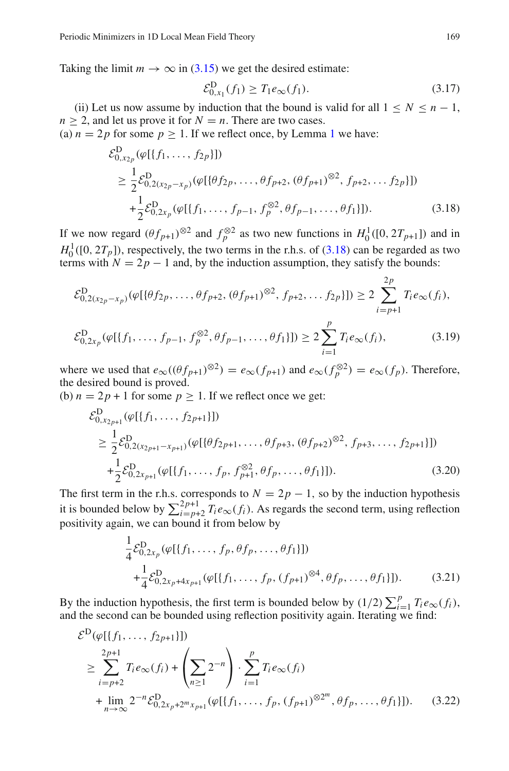Taking the limit  $m \to \infty$  in [\(3.15\)](#page-5-2) we get the desired estimate:

$$
\mathcal{E}_{0,x_1}^{\mathcal{D}}(f_1) \ge T_1 e_{\infty}(f_1). \tag{3.17}
$$

(ii) Let us now assume by induction that the bound is valid for all  $1 \leq N \leq n - 1$ ,  $n \geq 2$ , and let us prove it for  $N = n$ . There are two cases.

<span id="page-6-0"></span>(a)  $n = 2p$  for some  $p \ge 1$  $p \ge 1$ . If we reflect once, by Lemma 1 we have:

$$
\mathcal{E}_{0,x_{2p}}^{\mathbf{D}}(\varphi[\{f_1,\ldots,f_{2p}\}])
$$
\n
$$
\geq \frac{1}{2}\mathcal{E}_{0,2(x_{2p}-x_{p})}^{\mathbf{D}}(\varphi[\{\theta f_{2p},\ldots,\theta f_{p+2},(\theta f_{p+1})^{\otimes 2},f_{p+2},\ldots f_{2p}\}])
$$
\n
$$
+\frac{1}{2}\mathcal{E}_{0,2x_{p}}^{\mathbf{D}}(\varphi[\{f_1,\ldots,f_{p-1},f_p^{\otimes 2},\theta f_{p-1},\ldots,\theta f_1\}]).
$$
\n(3.18)

If we now regard  $(\theta f_{p+1})^{\otimes 2}$  and  $f_p^{\otimes 2}$  as two new functions in  $H_0^1([0, 2T_{p+1}])$  and in  $H_0^1([0, 2T_p])$ , respectively, the two terms in the r.h.s. of [\(3.18\)](#page-6-0) can be regarded as two terms with  $N = 2p - 1$  and, by the induction assumption, they satisfy the bounds:

$$
\mathcal{E}_{0,2(x_{2p}-x_{p})}^{\mathbf{D}}(\varphi[\{\theta f_{2p},\ldots,\theta f_{p+2},(\theta f_{p+1})^{\otimes2},f_{p+2},\ldots f_{2p}\}]) \geq 2\sum_{i=p+1}^{2p}T_{i}e_{\infty}(f_{i}),
$$
  

$$
\mathcal{E}_{0,2x_{p}}^{\mathbf{D}}(\varphi[\{f_{1},\ldots,f_{p-1},f_{p}^{\otimes2},\theta f_{p-1},\ldots,\theta f_{1}\}]) \geq 2\sum_{i=1}^{p}T_{i}e_{\infty}(f_{i}),
$$
(3.19)

where we used that  $e_{\infty}((\theta f_{p+1})^{\otimes 2}) = e_{\infty}(f_{p+1})$  and  $e_{\infty}(f_p^{\otimes 2}) = e_{\infty}(f_p)$ . Therefore, the desired bound is proved.

(b)  $n = 2p + 1$  for some  $p \ge 1$ . If we reflect once we get:

$$
\mathcal{E}_{0,x_{2p+1}}^{D}(\varphi[\{f_1,\ldots,f_{2p+1}\}])
$$
\n
$$
\geq \frac{1}{2}\mathcal{E}_{0,2(x_{2p+1}-x_{p+1})}^{D}(\varphi[\{\theta f_{2p+1},\ldots,\theta f_{p+3},(\theta f_{p+2})^{\otimes2},f_{p+3},\ldots,f_{2p+1}\}])
$$
\n
$$
+\frac{1}{2}\mathcal{E}_{0,2x_{p+1}}^{D}(\varphi[\{f_1,\ldots,f_p,f_{p+1}^{\otimes2},\theta f_p,\ldots,\theta f_1\}]).
$$
\n(3.20)

The first term in the r.h.s. corresponds to  $N = 2p - 1$ , so by the induction hypothesis it is bounded below by  $\sum_{i=p+2}^{2p+1} T_i e_{\infty}(f_i)$ . As regards the second term, using reflection positivity again, we can bound it from below by

$$
\frac{1}{4} \mathcal{E}_{0,2x_p}^D(\varphi[\{f_1,\ldots,f_p,\theta f_p,\ldots,\theta f_1\}]) + \frac{1}{4} \mathcal{E}_{0,2x_p+4x_{p+1}}^D(\varphi[\{f_1,\ldots,f_p,(f_{p+1})^{\otimes 4},\theta f_p,\ldots,\theta f_1\}]).
$$
\n(3.21)

<span id="page-6-1"></span>By the induction hypothesis, the first term is bounded below by  $(1/2) \sum_{i=1}^{p} T_i e_{\infty}(f_i)$ , and the second can be bounded using reflection positivity again. Iterating we find:

$$
\mathcal{E}^{\mathcal{D}}(\varphi[\{f_1, \ldots, f_{2p+1}\}])
$$
\n
$$
\geq \sum_{i=p+2}^{2p+1} T_i e_{\infty}(f_i) + \left(\sum_{n\geq 1} 2^{-n}\right) \cdot \sum_{i=1}^p T_i e_{\infty}(f_i)
$$
\n
$$
+ \lim_{n \to \infty} 2^{-n} \mathcal{E}_{0,2x_p+2^m x_{p+1}}^{\mathcal{D}}(\varphi[\{f_1, \ldots, f_p, (f_{p+1})^{\otimes 2^m}, \theta f_p, \ldots, \theta f_1\}]). \tag{3.22}
$$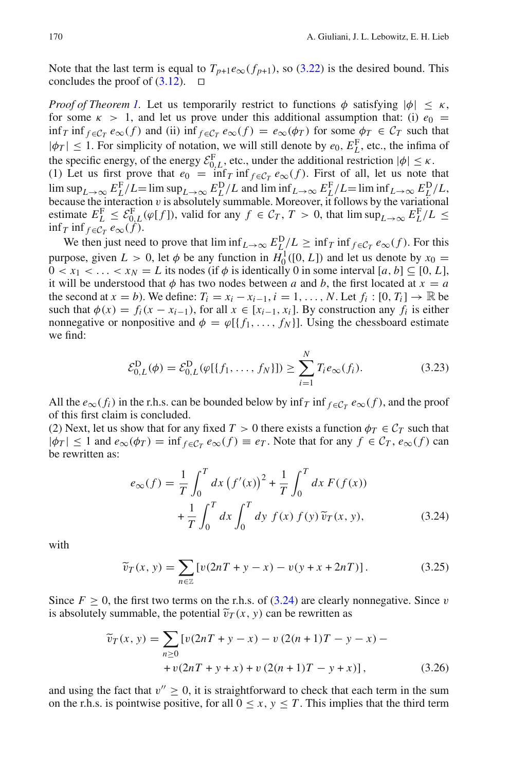Note that the last term is equal to  $T_{p+1}e_{\infty}(f_{p+1})$ , so [\(3.22\)](#page-6-1) is the desired bound. This concludes the proof of  $(3.12)$ .  $\Box$ 

*Proof of Theorem [1.](#page-3-2)* Let us temporarily restrict to functions  $\phi$  satisfying  $|\phi| \leq \kappa$ , for some  $\kappa > 1$ , and let us prove under this additional assumption that: (i)  $e_0 =$ inf *T* inf  $f \in C_T$   $e_\infty(f)$  and (ii) inf  $f \in C_T$   $e_\infty(f) = e_\infty(\phi_T)$  for some  $\phi_T \in C_T$  such that  $|\phi_T| \leq 1$ . For simplicity of notation, we will still denote by  $e_0$ ,  $E_L^F$ , etc., the infima of the specific energy, of the energy  $\mathcal{E}_{0,L}^{\mathbf{F}}$ , etc., under the additional restriction  $|\phi| \leq \kappa$ . (1) Let us first prove that  $e_0 = \inf_T \inf_{f \in C_T} e_\infty(f)$ . First of all, let us note that

 $\limsup_{L\to\infty} E_L^F/L = \limsup_{L\to\infty} E_L^D/L$  and  $\liminf_{L\to\infty} E_L^F/L = \liminf_{L\to\infty} E_L^D/L$ , because the interaction  $v$  is absolutely summable. Moreover, it follows by the variational estimate  $E_L^{\text{F}} \leq \mathcal{E}_{0,L}^{\text{F}}(\varphi[f])$ , valid for any  $f \in \mathcal{C}_T$ ,  $T > 0$ , that  $\limsup_{L \to \infty} E_L^{\text{F}}/L \leq$  $\inf_T \inf_{f \in C_T} e_\infty(f)$ .

We then just need to prove that  $\liminf_{L\to\infty} E_L^D/L \ge \inf_T \inf_{f \in C_T} e_\infty(f)$ . For this purpose, given  $L > 0$ , let  $\phi$  be any function in  $H_0^1([0, L])$  and let us denote by  $x_0 =$  $0 < x_1 < \ldots < x_N = L$  its nodes (if  $\phi$  is identically 0 in some interval [a, b]  $\subseteq [0, L]$ , it will be understood that  $\phi$  has two nodes between *a* and *b*, the first located at  $x = a$ the second at  $x = b$ ). We define:  $T_i = x_i - x_{i-1}$ ,  $i = 1, ..., N$ . Let  $f_i : [0, T_i] \rightarrow \mathbb{R}$  be such that  $\phi(x) = f_i(x - x_{i-1})$ , for all  $x \in [x_{i-1}, x_i]$ . By construction any  $f_i$  is either nonnegative or nonpositive and  $\phi = \varphi[\{f_1, \ldots, f_N\}]$ . Using the chessboard estimate we find:

$$
\mathcal{E}_{0,L}^{\mathcal{D}}(\phi) = \mathcal{E}_{0,L}^{\mathcal{D}}(\varphi[\{f_1, \ldots, f_N\}]) \ge \sum_{i=1}^{N} T_i e_{\infty}(f_i). \tag{3.23}
$$

All the  $e_{\infty}(f_i)$  in the r.h.s. can be bounded below by inf<sub>*T*</sub> inf  $f \in \mathcal{C}_T$   $e_{\infty}(f)$ , and the proof of this first claim is concluded.

<span id="page-7-0"></span>(2) Next, let us show that for any fixed  $T > 0$  there exists a function  $\phi_T \in C_T$  such that  $|\phi_T| \leq 1$  and  $e_{\infty}(\phi_T) = \inf_{f \in C_T} e_{\infty}(f) \equiv e_T$ . Note that for any  $f \in C_T$ ,  $e_{\infty}(f)$  can be rewritten as:

$$
e_{\infty}(f) = \frac{1}{T} \int_0^T dx \left(f'(x)\right)^2 + \frac{1}{T} \int_0^T dx F(f(x))
$$
  
+ 
$$
\frac{1}{T} \int_0^T dx \int_0^T dy f(x) f(y) \tilde{v}_T(x, y),
$$
(3.24)

with

$$
\widetilde{v}_T(x, y) = \sum_{n \in \mathbb{Z}} \left[ v(2nT + y - x) - v(y + x + 2nT) \right]. \tag{3.25}
$$

Since  $F \ge 0$ , the first two terms on the r.h.s. of [\(3.24\)](#page-7-0) are clearly nonnegative. Since v is absolutely summable, the potential  $\tilde{v}_T(x, y)$  can be rewritten as

$$
\widetilde{v}_T(x, y) = \sum_{n \ge 0} \left[ v(2nT + y - x) - v(2(n+1)T - y - x) - v(2nT + y + x) + v(2(n+1)T - y + x) \right],
$$
\n(3.26)

and using the fact that  $v'' > 0$ , it is straightforward to check that each term in the sum on the r.h.s. is pointwise positive, for all  $0 \le x, y \le T$ . This implies that the third term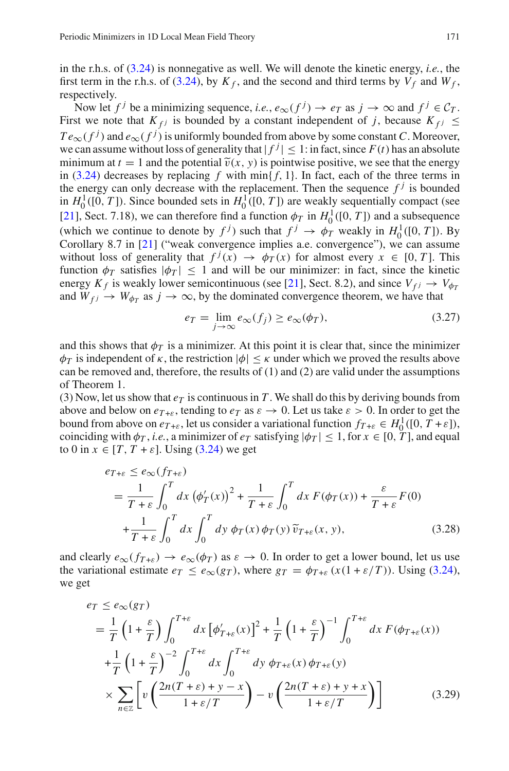in the r.h.s. of [\(3.24\)](#page-7-0) is nonnegative as well. We will denote the kinetic energy, *i.e.*, the first term in the r.h.s. of [\(3.24\)](#page-7-0), by  $K_f$ , and the second and third terms by  $V_f$  and  $W_f$ , respectively.

Now let  $f^j$  be a minimizing sequence, *i.e.*,  $e_\infty(f^j) \to e_T$  as  $j \to \infty$  and  $f^j \in C_T$ . First we note that  $K_{fj}$  is bounded by a constant independent of *j*, because  $K_{fj} \leq$  $Te_{\infty}(f^j)$  and  $e_{\infty}(f^j)$  is uniformly bounded from above by some constant *C*. Moreover, we can assume without loss of generality that  $|f^j| \leq 1$ : in fact, since  $F(t)$  has an absolute minimum at  $t = 1$  and the potential  $\tilde{v}(x, y)$  is pointwise positive, we see that the energy in [\(3.24\)](#page-7-0) decreases by replacing *f* with  $\min\{f, 1\}$ . In fact, each of the three terms in the energy can only decrease with the replacement. Then the sequence  $f^j$  is bounded in  $H_0^1([0, T])$ . Since bounded sets in  $H_0^1([0, T])$  are weakly sequentially compact (see [\[21\]](#page-14-12), Sect. 7.18), we can therefore find a function  $\phi_T$  in  $H_0^1([0, T])$  and a subsequence (which we continue to denote by  $f^j$ ) such that  $f^j \to \phi_T$  weakly in  $H_0^1([0, T])$ . By Corollary 8.7 in [\[21\]](#page-14-12) ("weak convergence implies a.e. convergence"), we can assume without loss of generality that  $f^j(x) \to \phi_T(x)$  for almost every  $x \in [0, T]$ . This function  $\phi_T$  satisfies  $|\phi_T| \leq 1$  and will be our minimizer: in fact, since the kinetic energy  $K_f$  is weakly lower semicontinuous (see [\[21\]](#page-14-12), Sect. 8.2), and since  $V_{f} \rightarrow V_{\phi T}$ and  $W_{f}$   $\rightarrow$   $W_{\phi}$  as  $j \rightarrow \infty$ , by the dominated convergence theorem, we have that

$$
e_T = \lim_{j \to \infty} e_{\infty}(f_j) \ge e_{\infty}(\phi_T), \tag{3.27}
$$

and this shows that  $\phi_T$  is a minimizer. At this point it is clear that, since the minimizer  $\phi_T$  is independent of  $\kappa$ , the restriction  $|\phi| \leq \kappa$  under which we proved the results above can be removed and, therefore, the results of  $(1)$  and  $(2)$  are valid under the assumptions of Theorem 1.

(3) Now, let us show that  $e_T$  is continuous in T. We shall do this by deriving bounds from above and below on  $e_{T+\varepsilon}$ , tending to  $e_T$  as  $\varepsilon \to 0$ . Let us take  $\varepsilon > 0$ . In order to get the bound from above on  $e_{T+\varepsilon}$ , let us consider a variational function  $f_{T+\varepsilon} \in H_0^1([0, T+\varepsilon])$ , coinciding with  $\phi_T$ , *i.e.*, a minimizer of  $e_T$  satisfying  $|\phi_T| \leq 1$ , for  $x \in [0, T]$ , and equal to 0 in  $x \in [T, T + \varepsilon]$ . Using [\(3.24\)](#page-7-0) we get

$$
e_{T+\varepsilon} \le e_{\infty}(f_{T+\varepsilon})
$$
  
=  $\frac{1}{T+\varepsilon} \int_0^T dx \, (\phi'_T(x))^2 + \frac{1}{T+\varepsilon} \int_0^T dx \, F(\phi_T(x)) + \frac{\varepsilon}{T+\varepsilon} F(0)$   
+  $\frac{1}{T+\varepsilon} \int_0^T dx \int_0^T dy \, \phi_T(x) \, \phi_T(y) \, \widetilde{v}_{T+\varepsilon}(x, y),$  (3.28)

and clearly  $e_{\infty}(f_{T+\varepsilon}) \to e_{\infty}(\phi_T)$  as  $\varepsilon \to 0$ . In order to get a lower bound, let us use the variational estimate  $e_T \leq e_\infty(g_T)$ , where  $g_T = \phi_{T+\varepsilon}(x(1+\varepsilon/T))$ . Using [\(3.24\)](#page-7-0), we get

$$
e_T \le e_{\infty}(g_T)
$$
  
=  $\frac{1}{T} \left(1 + \frac{\varepsilon}{T}\right) \int_0^{T+\varepsilon} dx \left[\phi'_{T+\varepsilon}(x)\right]^2 + \frac{1}{T} \left(1 + \frac{\varepsilon}{T}\right)^{-1} \int_0^{T+\varepsilon} dx F(\phi_{T+\varepsilon}(x))$   
+  $\frac{1}{T} \left(1 + \frac{\varepsilon}{T}\right)^{-2} \int_0^{T+\varepsilon} dx \int_0^{T+\varepsilon} dy \phi_{T+\varepsilon}(x) \phi_{T+\varepsilon}(y)$   
 $\times \sum_{n \in \mathbb{Z}} \left[ v \left( \frac{2n(T+\varepsilon) + y - x}{1 + \varepsilon/T} \right) - v \left( \frac{2n(T+\varepsilon) + y + x}{1 + \varepsilon/T} \right) \right]$ (3.29)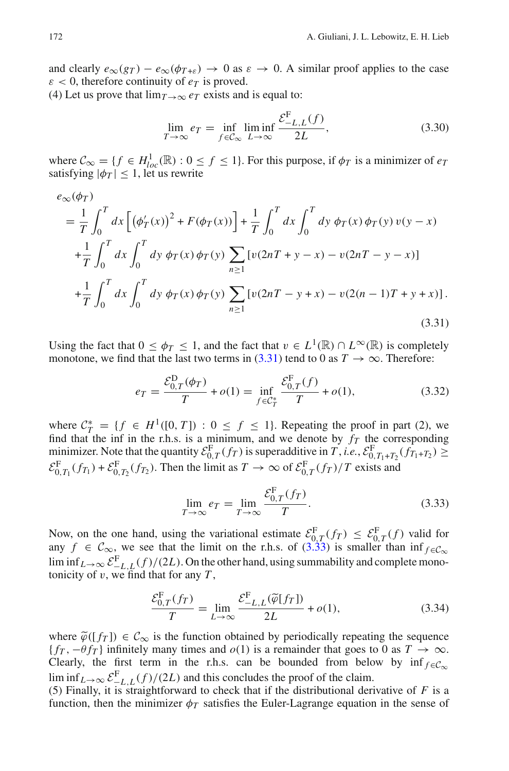and clearly  $e_{\infty}(g_T) - e_{\infty}(\phi_{T+\varepsilon}) \to 0$  as  $\varepsilon \to 0$ . A similar proof applies to the case  $\varepsilon$  < 0, therefore continuity of  $e_T$  is proved.

(4) Let us prove that  $\lim_{T\to\infty} e_T$  exists and is equal to:

$$
\lim_{T \to \infty} e_T = \inf_{f \in \mathcal{C}_{\infty}} \liminf_{L \to \infty} \frac{\mathcal{E}_{-L,L}^{\mathcal{F}}(f)}{2L},\tag{3.30}
$$

where  $C_{\infty} = \{ f \in H_{loc}^1(\mathbb{R}) : 0 \le f \le 1 \}$ . For this purpose, if  $\phi_T$  is a minimizer of  $e_T$ satisfying  $|\phi_T|$  < 1, let us rewrite

<span id="page-9-0"></span>
$$
e_{\infty}(\phi_T)
$$
  
=  $\frac{1}{T} \int_0^T dx \left[ (\phi'_T(x))^2 + F(\phi_T(x)) \right] + \frac{1}{T} \int_0^T dx \int_0^T dy \ \phi_T(x) \ \phi_T(y) \ v(y-x)$   
+  $\frac{1}{T} \int_0^T dx \int_0^T dy \ \phi_T(x) \ \phi_T(y) \sum_{n \ge 1} \left[ v(2nT + y - x) - v(2nT - y - x) \right]$   
+  $\frac{1}{T} \int_0^T dx \int_0^T dy \ \phi_T(x) \ \phi_T(y) \sum_{n \ge 1} \left[ v(2nT - y + x) - v(2(n - 1)T + y + x) \right].$  (3.31)

Using the fact that  $0 \leq \phi_T \leq 1$ , and the fact that  $v \in L^1(\mathbb{R}) \cap L^\infty(\mathbb{R})$  is completely monotone, we find that the last two terms in  $(3.31)$  tend to 0 as  $T \to \infty$ . Therefore:

$$
e_T = \frac{\mathcal{E}_{0,T}^{\mathcal{D}}(\phi_T)}{T} + o(1) = \inf_{f \in \mathcal{C}_T^*} \frac{\mathcal{E}_{0,T}^{\mathcal{F}}(f)}{T} + o(1),\tag{3.32}
$$

where  $C_T^* = \{ f \in H^1([0, T]) : 0 \le f \le 1 \}$ . Repeating the proof in part (2), we find that the inf in the r.h.s. is a minimum, and we denote by  $f_T$  the corresponding minimizer. Note that the quantity  $\mathcal{E}_{0,T}^{\mathbf{F}}(f_T)$  is superadditive in *T*, *i.e.*,  $\mathcal{E}_{0,T_1+T_2}^{\mathbf{F}}(f_{T_1+T_2}) \geq$  $\mathcal{E}_{0,T_1}^F(f_T) + \mathcal{E}_{0,T_2}^F(f_{T_2})$ . Then the limit as  $T \to \infty$  of  $\mathcal{E}_{0,T}^F(f_T)/T$  exists and

$$
\lim_{T \to \infty} e_T = \lim_{T \to \infty} \frac{\mathcal{E}_{0,T}^{\mathcal{F}}(f_T)}{T}.
$$
\n(3.33)

<span id="page-9-1"></span>Now, on the one hand, using the variational estimate  $\mathcal{E}_{0,T}^F(f_T) \leq \mathcal{E}_{0,T}^F(f)$  valid for any  $f \in \mathcal{C}_{\infty}$ , we see that the limit on the r.h.s. of  $(3.33)$  is smaller than inf  $f \in \mathcal{C}_{\infty}$  $\liminf_{L\to\infty}\mathcal{E}^{\text{F}}_{-L,L}(f)/(2L)$ . On the other hand, using summability and complete monotonicity of  $v$ , we find that for any  $T$ ,

$$
\frac{\mathcal{E}_{0,T}^{\mathcal{F}}(f_T)}{T} = \lim_{L \to \infty} \frac{\mathcal{E}_{-L,L}^{\mathcal{F}}(\widetilde{\varphi}[f_T])}{2L} + o(1),\tag{3.34}
$$

where  $\tilde{\varphi}([f_T]) \in C_{\infty}$  is the function obtained by periodically repeating the sequence  ${f_T, -\theta f_T}$  infinitely many times and *o*(1) is a remainder that goes to 0 as  $T \to \infty$ . Clearly, the first term in the r.h.s. can be bounded from below by inf  $f \in \mathcal{C}_\infty$  $\liminf_{L\to\infty} \mathcal{E}^{\text{F}}_{-L,L}(f)/(2L)$  and this concludes the proof of the claim.

(5) Finally, it is straightforward to check that if the distributional derivative of *F* is a function, then the minimizer  $\phi_T$  satisfies the Euler-Lagrange equation in the sense of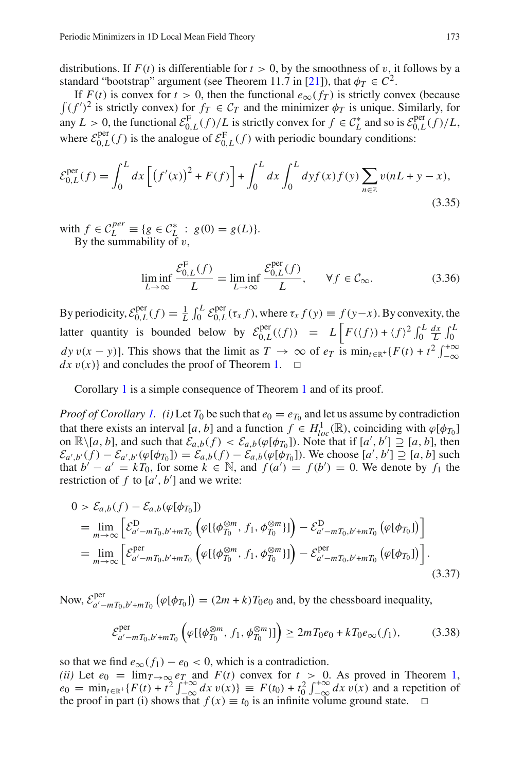distributions. If  $F(t)$  is differentiable for  $t > 0$ , by the smoothness of v, it follows by a standard "bootstrap" argument (see Theorem 11.7 in [\[21\]](#page-14-12)), that  $\phi_T \in C^2$ .

If  $F(t)$  is convex for  $t > 0$ , then the functional  $e_{\infty}(f_T)$  is strictly convex (because  $\int (f')^2$  is strictly convex) for  $f_T \in C_T$  and the minimizer  $\phi_T$  is unique. Similarly, for any  $L > 0$ , the functional  $\mathcal{E}_{0,L}^F(f)/L$  is strictly convex for  $f \in \mathcal{C}_L^*$  and so is  $\mathcal{E}_{0,L}^{per}(f)/L$ , where  $\mathcal{E}_{0,L}^{\text{per}}(f)$  is the analogue of  $\mathcal{E}_{0,L}^{\text{F}}(f)$  with periodic boundary conditions:

$$
\mathcal{E}_{0,L}^{\text{per}}(f) = \int_0^L dx \left[ \left( f'(x) \right)^2 + F(f) \right] + \int_0^L dx \int_0^L dy f(x) f(y) \sum_{n \in \mathbb{Z}} v(nL + y - x), \tag{3.35}
$$

with  $f \in C_L^{per} \equiv \{ g \in C_L^* : g(0) = g(L) \}.$ By the summability of  $v$ ,

$$
\liminf_{L \to \infty} \frac{\mathcal{E}_{0,L}^{\mathcal{F}}(f)}{L} = \liminf_{L \to \infty} \frac{\mathcal{E}_{0,L}^{\text{per}}(f)}{L}, \quad \forall f \in \mathcal{C}_{\infty}.
$$
 (3.36)

By periodicity,  $\mathcal{E}_{0,L}^{\text{per}}(f) = \frac{1}{L} \int_0^L \mathcal{E}_{0,L}^{\text{per}}(\tau_x f)$ , where  $\tau_x f(y) \equiv f(y-x)$ . By convexity, the latter quantity is bounded below by  $\mathcal{E}_{0,L}^{per}(\langle f \rangle) = L \left| F(\langle f \rangle) + \langle f \rangle^2 \int_0^L \frac{dx}{L} \int_0^L f(\langle f \rangle) \right|$ *dy*  $v(x - y)$ . This shows that the limit as  $T \to \infty$  of  $e_T$  is  $\min_{t \in \mathbb{R}^+} \{F(t) + t^2 \int_{-\infty}^{+\infty}$  $dx$  v(x) and concludes the proof of Theorem [1.](#page-3-2)  $\Box$ 

Corollary [1](#page-4-5) is a simple consequence of Theorem [1](#page-3-2) and of its proof.

*Proof of Corollary [1.](#page-4-5) (i)* Let  $T_0$  be such that  $e_0 = e_{T_0}$  and let us assume by contradiction that there exists an interval [*a*, *b*] and a function  $f \in H_{loc}^1(\mathbb{R})$ , coinciding with  $\varphi[\phi_{T_0}]$ on  $\mathbb{R}\setminus [a, b]$ , and such that  $\mathcal{E}_{a,b}(f) < \mathcal{E}_{a,b}(\varphi[\phi_{T_0}])$ . Note that if  $[a', b'] \supseteq [a, b]$ , then  $\mathcal{E}_{a',b'}(f) - \mathcal{E}_{a',b'}(\varphi[\phi_{T_0}]) = \mathcal{E}_{a,b}(f) - \mathcal{E}_{a,b}(\varphi[\phi_{T_0}]).$  We choose  $[a', b'] \supseteq [a, b]$  such that  $b' - a' = kT_0$ , for some  $k \in \mathbb{N}$ , and  $f(a') = f(b') = 0$ . We denote by  $f_1$  the restriction of  $f$  to  $[a', b']$  and we write:

$$
0 > \mathcal{E}_{a,b}(f) - \mathcal{E}_{a,b}(\varphi[\phi_{T_0}])
$$
  
= 
$$
\lim_{m \to \infty} \left[ \mathcal{E}_{a'-mT_0,b'+mT_0}^{D} \left( \varphi[\{\phi_{T_0}^{\otimes m}, f_1, \phi_{T_0}^{\otimes m}] \} \right) - \mathcal{E}_{a'-mT_0,b'+mT_0}^{D} \left( \varphi[\phi_{T_0}]\right) \right]
$$
  
= 
$$
\lim_{m \to \infty} \left[ \mathcal{E}_{a'-mT_0,b'+mT_0}^{\text{per}} \left( \varphi[\{\phi_{T_0}^{\otimes m}, f_1, \phi_{T_0}^{\otimes m}] \} \right) - \mathcal{E}_{a'-mT_0,b'+mT_0}^{\text{per}} \left( \varphi[\phi_{T_0}]\right) \right].
$$
 (3.37)

Now,  $\mathcal{E}_{a'-mT_0,b'+mT_0}^{\text{per}}(\varphi[\phi_{T_0}]) = (2m+k)T_0e_0$  and, by the chessboard inequality,

$$
\mathcal{E}_{a'-mT_0,b'+mT_0}^{\text{per}}\left(\varphi[\{\phi_{T_0}^{\otimes m}, f_1, \phi_{T_0}^{\otimes m} \}]\right) \ge 2mT_0e_0 + kT_0e_\infty(f_1),\tag{3.38}
$$

so that we find  $e_{\infty}(f_1) - e_0 < 0$ , which is a contradiction.

*(ii)* Let  $e_0 = \lim_{T \to \infty} e_T$  and  $F(t)$  convex for  $t > 0$ . As proved in Theorem [1,](#page-3-2)  $e_0 = \min_{t \in \mathbb{R}^+} \{F(t) + t^2 \int_{-\infty}^{+\infty} dx \, v(x) \} \equiv F(t_0) + t_0^2 \int_{-\infty}^{+\infty} dx \, v(x)$  and a repetition of the proof in part (i) shows that  $f(x) \equiv t_0$  is an infinite volume ground state.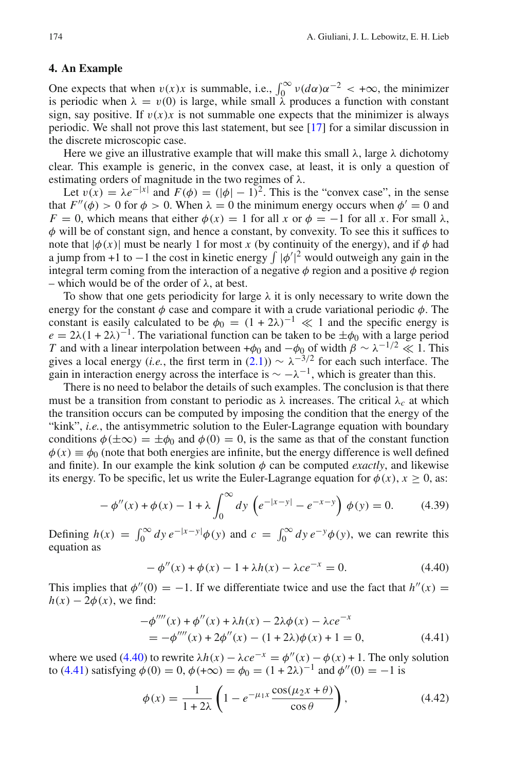### <span id="page-11-0"></span>**4. An Example**

One expects that when  $v(x)x$  is summable, i.e.,  $\int_0^\infty v(d\alpha)\alpha^{-2} < +\infty$ , the minimizer is periodic when  $\lambda = v(0)$  is large, while small  $\lambda$  produces a function with constant sign, say positive. If  $v(x)x$  is not summable one expects that the minimizer is always periodic. We shall not prove this last statement, but see [\[17](#page-13-0)] for a similar discussion in the discrete microscopic case.

Here we give an illustrative example that will make this small  $\lambda$ , large  $\lambda$  dichotomy clear. This example is generic, in the convex case, at least, it is only a question of estimating orders of magnitude in the two regimes of  $\lambda$ .

Let  $v(x) = \lambda e^{-|x|}$  and  $F(\phi) = (|\phi| - 1)^2$ . This is the "convex case", in the sense that  $F''(\phi) > 0$  for  $\phi > 0$ . When  $\lambda = 0$  the minimum energy occurs when  $\phi' = 0$  and  $F = 0$ , which means that either  $\phi(x) = 1$  for all *x* or  $\phi = -1$  for all *x*. For small  $\lambda$ ,  $\phi$  will be of constant sign, and hence a constant, by convexity. To see this it suffices to note that  $|\phi(x)|$  must be nearly 1 for most x (by continuity of the energy), and if  $\phi$  had a jump from +1 to  $-1$  the cost in kinetic energy  $\int |\phi'|^2$  would outweigh any gain in the integral term coming from the interaction of a negative  $\phi$  region and a positive  $\phi$  region – which would be of the order of  $\lambda$ , at best.

To show that one gets periodicity for large  $\lambda$  it is only necessary to write down the energy for the constant  $\phi$  case and compare it with a crude variational periodic  $\phi$ . The constant is easily calculated to be  $\phi_0 = (1 + 2\lambda)^{-1} \ll 1$  and the specific energy is  $e = 2\lambda(1+2\lambda)^{-1}$ . The variational function can be taken to be  $\pm \phi_0$  with a large period *T* and with a linear interpolation between + $\phi_0$  and  $-\phi_0$  of width  $\beta \sim \lambda^{-1/2} \ll 1$ . This gives a local energy (*i.e.*, the first term in [\(2.1\)](#page-1-1))  $\sim \lambda^{-3/2}$  for each such interface. The gain in interaction energy across the interface is  $\sim -\lambda^{-1}$ , which is greater than this.

There is no need to belabor the details of such examples. The conclusion is that there must be a transition from constant to periodic as  $\lambda$  increases. The critical  $\lambda_c$  at which the transition occurs can be computed by imposing the condition that the energy of the "kink", *i.e.*, the antisymmetric solution to the Euler-Lagrange equation with boundary conditions  $\phi(\pm\infty) = \pm\phi_0$  and  $\phi(0) = 0$ , is the same as that of the constant function  $\phi(x) \equiv \phi_0$  (note that both energies are infinite, but the energy difference is well defined and finite). In our example the kink solution  $\phi$  can be computed *exactly*, and likewise its energy. To be specific, let us write the Euler-Lagrange equation for  $\phi(x)$ ,  $x > 0$ , as:

$$
-\phi''(x) + \phi(x) - 1 + \lambda \int_0^\infty dy \left( e^{-|x-y|} - e^{-x-y} \right) \phi(y) = 0. \tag{4.39}
$$

Defining  $h(x) = \int_0^\infty dy \, e^{-|x-y|} \phi(y)$  and  $c = \int_0^\infty dy \, e^{-y} \phi(y)$ , we can rewrite this equation as

$$
-\phi''(x) + \phi(x) - 1 + \lambda h(x) - \lambda c e^{-x} = 0.
$$
 (4.40)

<span id="page-11-1"></span>This implies that  $\phi''(0) = -1$ . If we differentiate twice and use the fact that  $h''(x) =$  $h(x) - 2\phi(x)$ , we find:

$$
-\phi'''(x) + \phi''(x) + \lambda h(x) - 2\lambda \phi(x) - \lambda c e^{-x}
$$
  
=  $-\phi'''(x) + 2\phi''(x) - (1 + 2\lambda)\phi(x) + 1 = 0,$  (4.41)

<span id="page-11-3"></span><span id="page-11-2"></span>where we used [\(4.40\)](#page-11-1) to rewrite  $\lambda h(x) - \lambda c e^{-x} = \phi''(x) - \phi(x) + 1$ . The only solution to [\(4.41\)](#page-11-2) satisfying  $\phi(0) = 0$ ,  $\phi(+\infty) = \phi_0 = (1+2\lambda)^{-1}$  and  $\phi''(0) = -1$  is

$$
\phi(x) = \frac{1}{1+2\lambda} \left( 1 - e^{-\mu_1 x} \frac{\cos(\mu_2 x + \theta)}{\cos \theta} \right),\tag{4.42}
$$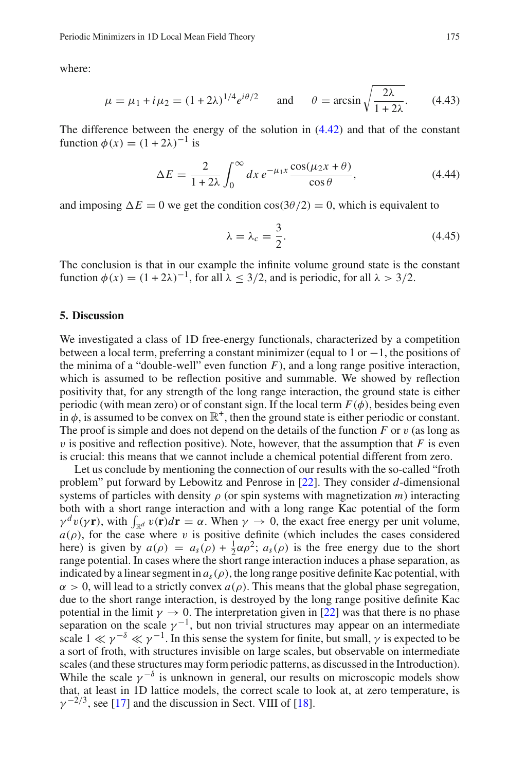where:

$$
\mu = \mu_1 + i\mu_2 = (1 + 2\lambda)^{1/4} e^{i\theta/2}
$$
 and  $\theta = \arcsin \sqrt{\frac{2\lambda}{1 + 2\lambda}}$ . (4.43)

The difference between the energy of the solution in [\(4.42\)](#page-11-3) and that of the constant function  $\phi(x) = (1+2\lambda)^{-1}$  is

$$
\Delta E = \frac{2}{1 + 2\lambda} \int_0^\infty dx \, e^{-\mu_1 x} \frac{\cos(\mu_2 x + \theta)}{\cos \theta},\tag{4.44}
$$

and imposing  $\Delta E = 0$  we get the condition  $\cos(3\theta/2) = 0$ , which is equivalent to

$$
\lambda = \lambda_c = \frac{3}{2}.\tag{4.45}
$$

The conclusion is that in our example the infinite volume ground state is the constant function  $\phi(x) = (1 + 2\lambda)^{-1}$ , for all  $\lambda \le 3/2$ , and is periodic, for all  $\lambda > 3/2$ .

## <span id="page-12-0"></span>**5. Discussion**

We investigated a class of 1D free-energy functionals, characterized by a competition between a local term, preferring a constant minimizer (equal to 1 or  $-1$ , the positions of the minima of a "double-well" even function  $F$ ), and a long range positive interaction, which is assumed to be reflection positive and summable. We showed by reflection positivity that, for any strength of the long range interaction, the ground state is either periodic (with mean zero) or of constant sign. If the local term  $F(\phi)$ , besides being even in  $\phi$ , is assumed to be convex on  $\mathbb{R}^+$ , then the ground state is either periodic or constant. The proof is simple and does not depend on the details of the function  $F$  or  $v$  (as long as  $\nu$  is positive and reflection positive). Note, however, that the assumption that  $F$  is even is crucial: this means that we cannot include a chemical potential different from zero.

Let us conclude by mentioning the connection of our results with the so-called "froth problem" put forward by Lebowitz and Penrose in [\[22\]](#page-14-13). They consider *d*-dimensional systems of particles with density  $\rho$  (or spin systems with magnetization  $m$ ) interacting both with a short range interaction and with a long range Kac potential of the form  $\gamma^d v(\gamma \mathbf{r})$ , with  $\int_{\mathbb{R}^d} v(\mathbf{r}) d\mathbf{r} = \alpha$ . When  $\gamma \to 0$ , the exact free energy per unit volume,  $a(\rho)$ , for the case where v is positive definite (which includes the cases considered here) is given by  $a(\rho) = a_s(\rho) + \frac{1}{2}\alpha \rho^2$ ;  $a_s(\rho)$  is the free energy due to the short range potential. In cases where the short range interaction induces a phase separation, as indicated by a linear segment in  $a_s(\rho)$ , the long range positive definite Kac potential, with  $\alpha > 0$ , will lead to a strictly convex  $a(\rho)$ . This means that the global phase segregation, due to the short range interaction, is destroyed by the long range positive definite Kac potential in the limit  $\gamma \to 0$ . The interpretation given in [\[22\]](#page-14-13) was that there is no phase separation on the scale  $\gamma^{-1}$ , but non trivial structures may appear on an intermediate scale  $1 \ll \gamma^{-\delta} \ll \gamma^{-1}$ . In this sense the system for finite, but small,  $\gamma$  is expected to be a sort of froth, with structures invisible on large scales, but observable on intermediate scales (and these structures may form periodic patterns, as discussed in the Introduction). While the scale  $\gamma^{-\delta}$  is unknown in general, our results on microscopic models show that, at least in 1D lattice models, the correct scale to look at, at zero temperature, is  $\gamma^{-2/3}$ , see [\[17](#page-13-0)] and the discussion in Sect. VIII of [\[18\]](#page-13-1).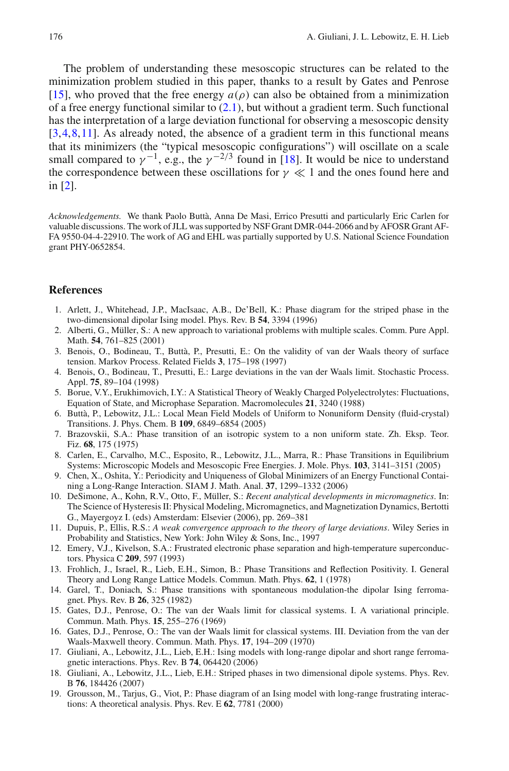The problem of understanding these mesoscopic structures can be related to the minimization problem studied in this paper, thanks to a result by Gates and Penrose [\[15](#page-13-14)], who proved that the free energy  $a(\rho)$  can also be obtained from a minimization of a free energy functional similar to  $(2.1)$ , but without a gradient term. Such functional has the interpretation of a large deviation functional for observing a mesoscopic density [\[3](#page-13-15),[4,](#page-13-16)[8](#page-13-17)[,11](#page-13-18)]. As already noted, the absence of a gradient term in this functional means that its minimizers (the "typical mesoscopic configurations") will oscillate on a scale small compared to  $\gamma^{-1}$ , e.g., the  $\gamma^{-2/3}$  found in [\[18](#page-13-1)]. It would be nice to understand the correspondence between these oscillations for  $\gamma \ll 1$  and the ones found here and in [\[2\]](#page-13-9).

*Acknowledgements.* We thank Paolo Buttà, Anna De Masi, Errico Presutti and particularly Eric Carlen for valuable discussions. The work of JLL was supported by NSF Grant DMR-044-2066 and by AFOSR Grant AF-FA 9550-04-4-22910. The work of AG and EHL was partially supported by U.S. National Science Foundation grant PHY-0652854.

## <span id="page-13-2"></span>**References**

- 1. Arlett, J., Whitehead, J.P., MacIsaac, A.B., De'Bell, K.: Phase diagram for the striped phase in the two-dimensional dipolar Ising model. Phys. Rev. B **54**, 3394 (1996)
- <span id="page-13-9"></span>2. Alberti, G., Müller, S.: A new approach to variational problems with multiple scales. Comm. Pure Appl. Math. **54**, 761–825 (2001)
- <span id="page-13-15"></span>3. Benois, O., Bodineau, T., Buttà, P., Presutti, E.: On the validity of van der Waals theory of surface tension. Markov Process. Related Fields **3**, 175–198 (1997)
- <span id="page-13-16"></span>4. Benois, O., Bodineau, T., Presutti, E.: Large deviations in the van der Waals limit. Stochastic Process. Appl. **75**, 89–104 (1998)
- <span id="page-13-7"></span>5. Borue, V.Y., Erukhimovich, I.Y.: A Statistical Theory of Weakly Charged Polyelectrolytes: Fluctuations, Equation of State, and Microphase Separation. Macromolecules **21**, 3240 (1988)
- <span id="page-13-11"></span>6. Buttà, P., Lebowitz, J.L.: Local Mean Field Models of Uniform to Nonuniform Density (fluid-crystal) Transitions. J. Phys. Chem. B **109**, 6849–6854 (2005)
- <span id="page-13-4"></span>7. Brazovskii, S.A.: Phase transition of an isotropic system to a non uniform state. Zh. Eksp. Teor. Fiz. **68**, 175 (1975)
- <span id="page-13-17"></span>8. Carlen, E., Carvalho, M.C., Esposito, R., Lebowitz, J.L., Marra, R.: Phase Transitions in Equilibrium Systems: Microscopic Models and Mesoscopic Free Energies. J. Mole. Phys. **103**, 3141–3151 (2005)
- <span id="page-13-10"></span>9. Chen, X., Oshita, Y.: Periodicity and Uniqueness of Global Minimizers of an Energy Functional Containing a Long-Range Interaction. SIAM J. Math. Anal. **37**, 1299–1332 (2006)
- <span id="page-13-5"></span>10. DeSimone, A., Kohn, R.V., Otto, F., Müller, S.: *Recent analytical developments in micromagnetics*. In: The Science of Hysteresis II: Physical Modeling, Micromagnetics, and Magnetization Dynamics, Bertotti G., Mayergoyz I. (eds) Amsterdam: Elsevier (2006), pp. 269–381
- <span id="page-13-18"></span>11. Dupuis, P., Ellis, R.S.: *A weak convergence approach to the theory of large deviations*. Wiley Series in Probability and Statistics, New York: John Wiley & Sons, Inc., 1997
- <span id="page-13-8"></span>12. Emery, V.J., Kivelson, S.A.: Frustrated electronic phase separation and high-temperature superconductors. Physica C **209**, 597 (1993)
- <span id="page-13-13"></span>13. Frohlich, J., Israel, R., Lieb, E.H., Simon, B.: Phase Transitions and Reflection Positivity. I. General Theory and Long Range Lattice Models. Commun. Math. Phys. **62**, 1 (1978)
- <span id="page-13-6"></span>14. Garel, T., Doniach, S.: Phase transitions with spontaneous modulation-the dipolar Ising ferromagnet. Phys. Rev. B **26**, 325 (1982)
- <span id="page-13-14"></span>15. Gates, D.J., Penrose, O.: The van der Waals limit for classical systems. I. A variational principle. Commun. Math. Phys. **15**, 255–276 (1969)
- <span id="page-13-12"></span>16. Gates, D.J., Penrose, O.: The van der Waals limit for classical systems. III. Deviation from the van der Waals-Maxwell theory. Commun. Math. Phys. **17**, 194–209 (1970)
- <span id="page-13-0"></span>17. Giuliani, A., Lebowitz, J.L., Lieb, E.H.: Ising models with long-range dipolar and short range ferromagnetic interactions. Phys. Rev. B **74**, 064420 (2006)
- <span id="page-13-1"></span>18. Giuliani, A., Lebowitz, J.L., Lieb, E.H.: Striped phases in two dimensional dipole systems. Phys. Rev. B **76**, 184426 (2007)
- <span id="page-13-3"></span>19. Grousson, M., Tarjus, G., Viot, P.: Phase diagram of an Ising model with long-range frustrating interactions: A theoretical analysis. Phys. Rev. E **62**, 7781 (2000)